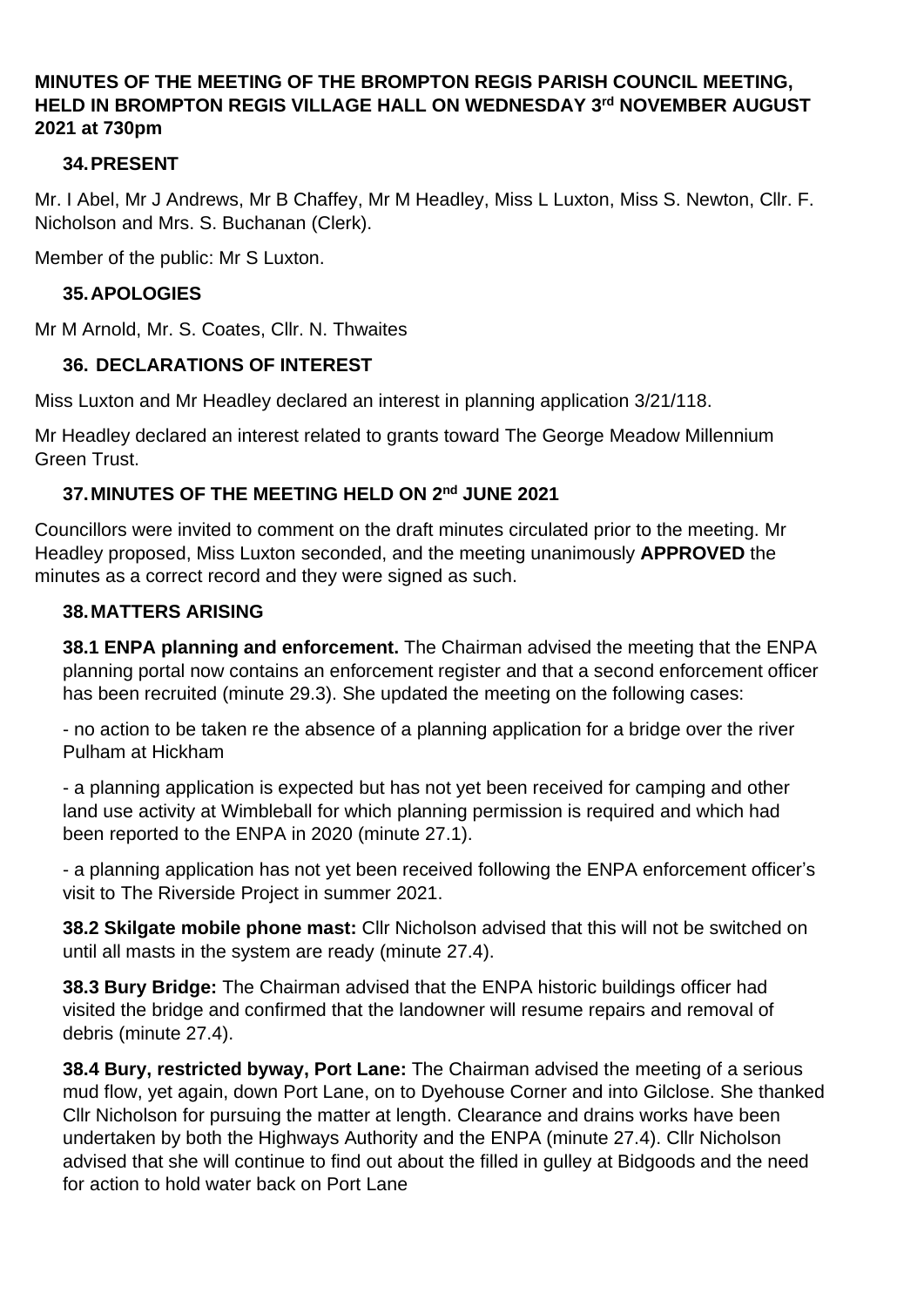### **MINUTES OF THE MEETING OF THE BROMPTON REGIS PARISH COUNCIL MEETING, HELD IN BROMPTON REGIS VILLAGE HALL ON WEDNESDAY 3 rd NOVEMBER AUGUST 2021 at 730pm**

### **34.PRESENT**

Mr. I Abel, Mr J Andrews, Mr B Chaffey, Mr M Headley, Miss L Luxton, Miss S. Newton, Cllr. F. Nicholson and Mrs. S. Buchanan (Clerk).

Member of the public: Mr S Luxton.

### **35.APOLOGIES**

Mr M Arnold, Mr. S. Coates, Cllr. N. Thwaites

## **36. DECLARATIONS OF INTEREST**

Miss Luxton and Mr Headley declared an interest in planning application 3/21/118.

Mr Headley declared an interest related to grants toward The George Meadow Millennium Green Trust.

## **37.MINUTES OF THE MEETING HELD ON 2 nd JUNE 2021**

Councillors were invited to comment on the draft minutes circulated prior to the meeting. Mr Headley proposed, Miss Luxton seconded, and the meeting unanimously **APPROVED** the minutes as a correct record and they were signed as such.

### **38.MATTERS ARISING**

**38.1 ENPA planning and enforcement.** The Chairman advised the meeting that the ENPA planning portal now contains an enforcement register and that a second enforcement officer has been recruited (minute 29.3). She updated the meeting on the following cases:

- no action to be taken re the absence of a planning application for a bridge over the river Pulham at Hickham

- a planning application is expected but has not yet been received for camping and other land use activity at Wimbleball for which planning permission is required and which had been reported to the ENPA in 2020 (minute 27.1).

- a planning application has not yet been received following the ENPA enforcement officer's visit to The Riverside Project in summer 2021.

**38.2 Skilgate mobile phone mast:** Cllr Nicholson advised that this will not be switched on until all masts in the system are ready (minute 27.4).

**38.3 Bury Bridge:** The Chairman advised that the ENPA historic buildings officer had visited the bridge and confirmed that the landowner will resume repairs and removal of debris (minute 27.4).

**38.4 Bury, restricted byway, Port Lane:** The Chairman advised the meeting of a serious mud flow, yet again, down Port Lane, on to Dyehouse Corner and into Gilclose. She thanked Cllr Nicholson for pursuing the matter at length. Clearance and drains works have been undertaken by both the Highways Authority and the ENPA (minute 27.4). Cllr Nicholson advised that she will continue to find out about the filled in gulley at Bidgoods and the need for action to hold water back on Port Lane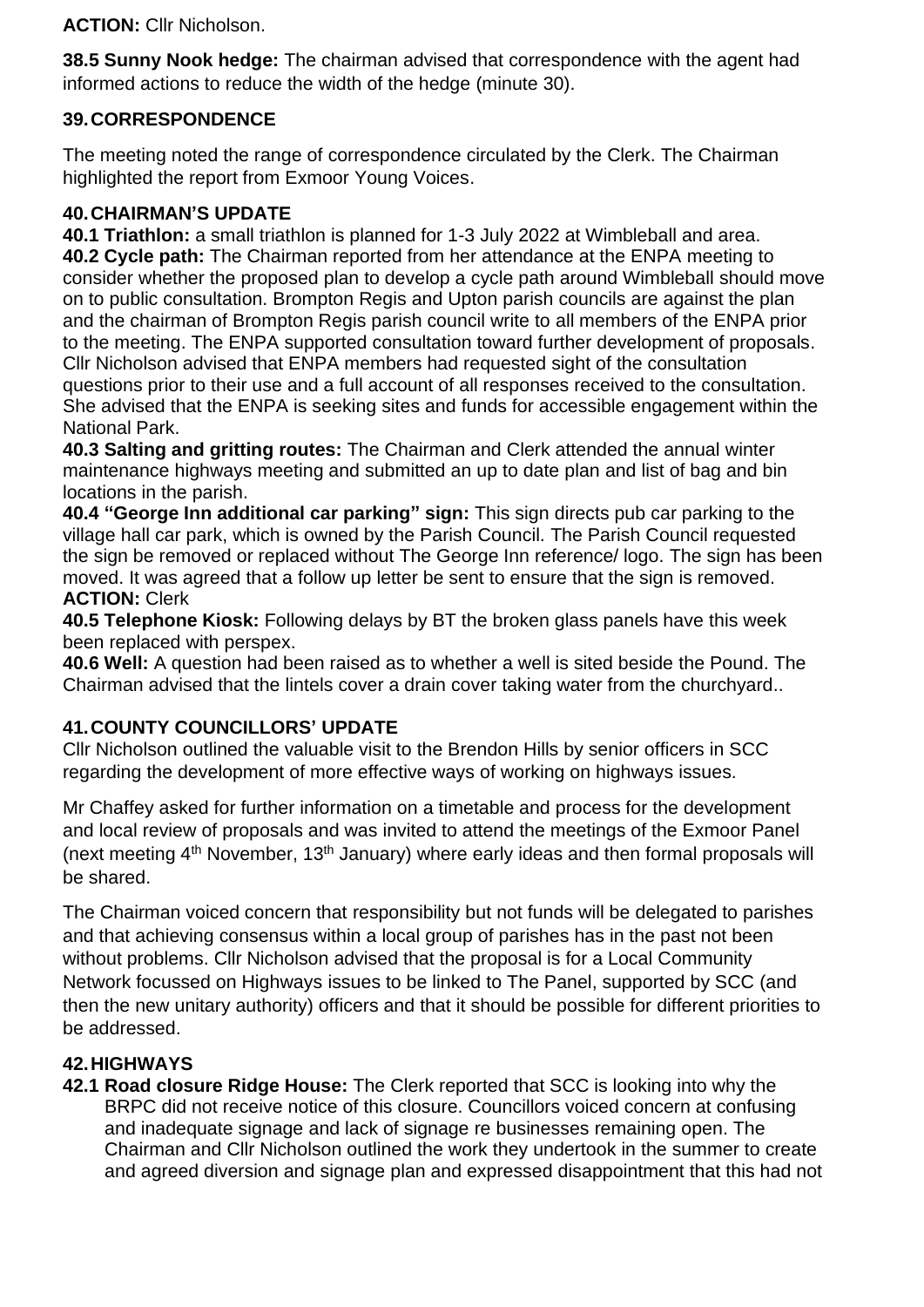**ACTION:** Cllr Nicholson.

**38.5 Sunny Nook hedge:** The chairman advised that correspondence with the agent had informed actions to reduce the width of the hedge (minute 30).

# **39.CORRESPONDENCE**

The meeting noted the range of correspondence circulated by the Clerk. The Chairman highlighted the report from Exmoor Young Voices.

## **40.CHAIRMAN'S UPDATE**

**40.1 Triathlon:** a small triathlon is planned for 1-3 July 2022 at Wimbleball and area. **40.2 Cycle path:** The Chairman reported from her attendance at the ENPA meeting to consider whether the proposed plan to develop a cycle path around Wimbleball should move on to public consultation. Brompton Regis and Upton parish councils are against the plan and the chairman of Brompton Regis parish council write to all members of the ENPA prior to the meeting. The ENPA supported consultation toward further development of proposals. Cllr Nicholson advised that ENPA members had requested sight of the consultation questions prior to their use and a full account of all responses received to the consultation. She advised that the ENPA is seeking sites and funds for accessible engagement within the National Park.

**40.3 Salting and gritting routes:** The Chairman and Clerk attended the annual winter maintenance highways meeting and submitted an up to date plan and list of bag and bin locations in the parish.

**40.4 "George Inn additional car parking" sign:** This sign directs pub car parking to the village hall car park, which is owned by the Parish Council. The Parish Council requested the sign be removed or replaced without The George Inn reference/ logo. The sign has been moved. It was agreed that a follow up letter be sent to ensure that the sign is removed. **ACTION:** Clerk

**40.5 Telephone Kiosk:** Following delays by BT the broken glass panels have this week been replaced with perspex.

**40.6 Well:** A question had been raised as to whether a well is sited beside the Pound. The Chairman advised that the lintels cover a drain cover taking water from the churchyard..

# **41.COUNTY COUNCILLORS' UPDATE**

Cllr Nicholson outlined the valuable visit to the Brendon Hills by senior officers in SCC regarding the development of more effective ways of working on highways issues.

Mr Chaffey asked for further information on a timetable and process for the development and local review of proposals and was invited to attend the meetings of the Exmoor Panel (next meeting 4<sup>th</sup> November, 13<sup>th</sup> January) where early ideas and then formal proposals will be shared.

The Chairman voiced concern that responsibility but not funds will be delegated to parishes and that achieving consensus within a local group of parishes has in the past not been without problems. Cllr Nicholson advised that the proposal is for a Local Community Network focussed on Highways issues to be linked to The Panel, supported by SCC (and then the new unitary authority) officers and that it should be possible for different priorities to be addressed.

# **42.HIGHWAYS**

**42.1 Road closure Ridge House:** The Clerk reported that SCC is looking into why the BRPC did not receive notice of this closure. Councillors voiced concern at confusing and inadequate signage and lack of signage re businesses remaining open. The Chairman and Cllr Nicholson outlined the work they undertook in the summer to create and agreed diversion and signage plan and expressed disappointment that this had not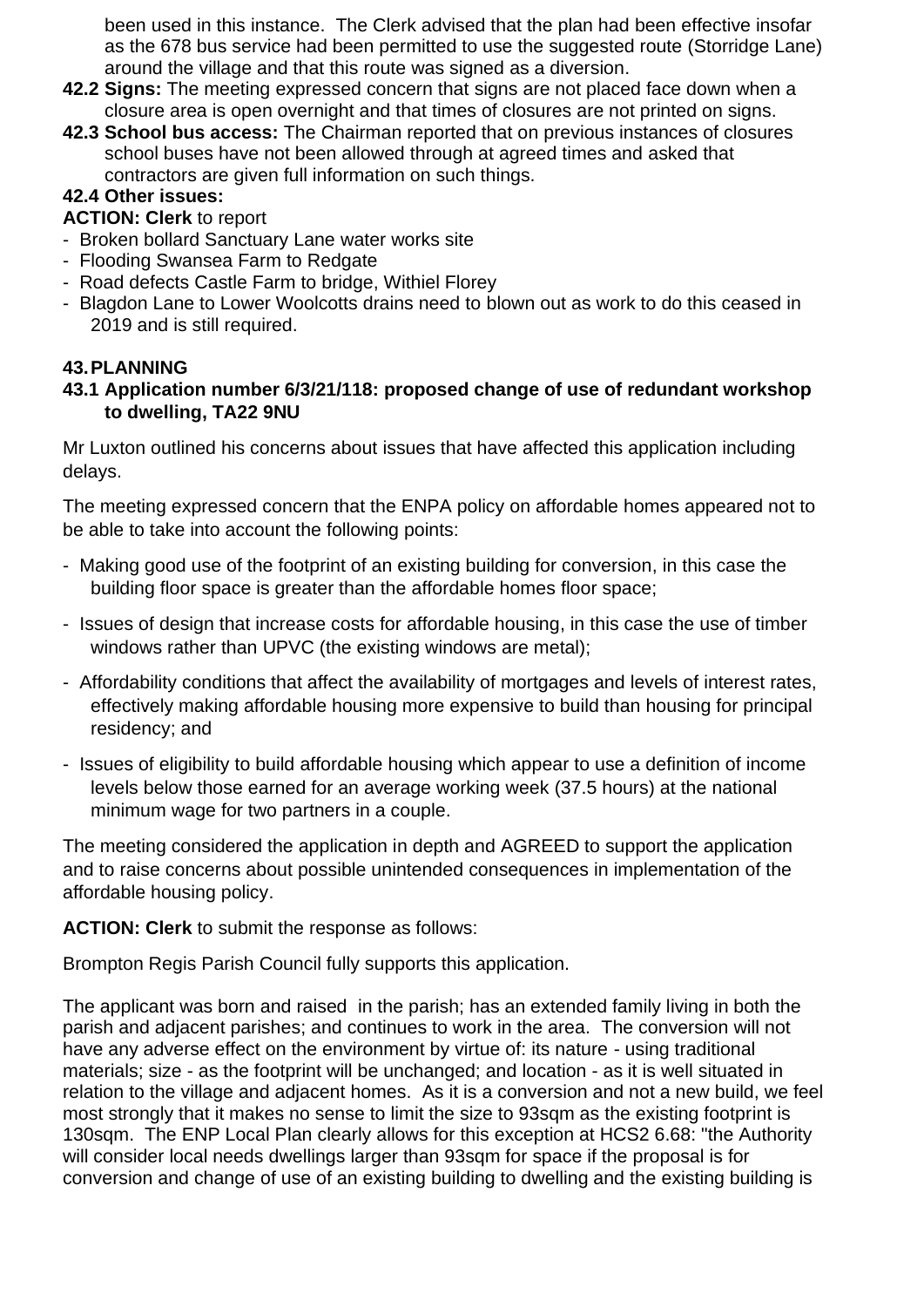been used in this instance. The Clerk advised that the plan had been effective insofar as the 678 bus service had been permitted to use the suggested route (Storridge Lane) around the village and that this route was signed as a diversion.

- **42.2 Signs:** The meeting expressed concern that signs are not placed face down when a closure area is open overnight and that times of closures are not printed on signs.
- **42.3 School bus access:** The Chairman reported that on previous instances of closures school buses have not been allowed through at agreed times and asked that contractors are given full information on such things.

## **42.4 Other issues:**

### **ACTION: Clerk** to report

- Broken bollard Sanctuary Lane water works site
- Flooding Swansea Farm to Redgate
- Road defects Castle Farm to bridge, Withiel Florey
- Blagdon Lane to Lower Woolcotts drains need to blown out as work to do this ceased in 2019 and is still required.

## **43.PLANNING**

**43.1 Application number 6/3/21/118: proposed change of use of redundant workshop to dwelling, TA22 9NU**

Mr Luxton outlined his concerns about issues that have affected this application including delays.

The meeting expressed concern that the ENPA policy on affordable homes appeared not to be able to take into account the following points:

- Making good use of the footprint of an existing building for conversion, in this case the building floor space is greater than the affordable homes floor space;
- Issues of design that increase costs for affordable housing, in this case the use of timber windows rather than UPVC (the existing windows are metal);
- Affordability conditions that affect the availability of mortgages and levels of interest rates, effectively making affordable housing more expensive to build than housing for principal residency; and
- Issues of eligibility to build affordable housing which appear to use a definition of income levels below those earned for an average working week (37.5 hours) at the national minimum wage for two partners in a couple.

The meeting considered the application in depth and AGREED to support the application and to raise concerns about possible unintended consequences in implementation of the affordable housing policy.

**ACTION: Clerk** to submit the response as follows:

Brompton Regis Parish Council fully supports this application.

The applicant was born and raised in the parish; has an extended family living in both the parish and adjacent parishes; and continues to work in the area. The conversion will not have any adverse effect on the environment by virtue of: its nature - using traditional materials; size - as the footprint will be unchanged; and location - as it is well situated in relation to the village and adjacent homes. As it is a conversion and not a new build, we feel most strongly that it makes no sense to limit the size to 93sqm as the existing footprint is 130sqm. The ENP Local Plan clearly allows for this exception at HCS2 6.68: "the Authority will consider local needs dwellings larger than 93sqm for space if the proposal is for conversion and change of use of an existing building to dwelling and the existing building is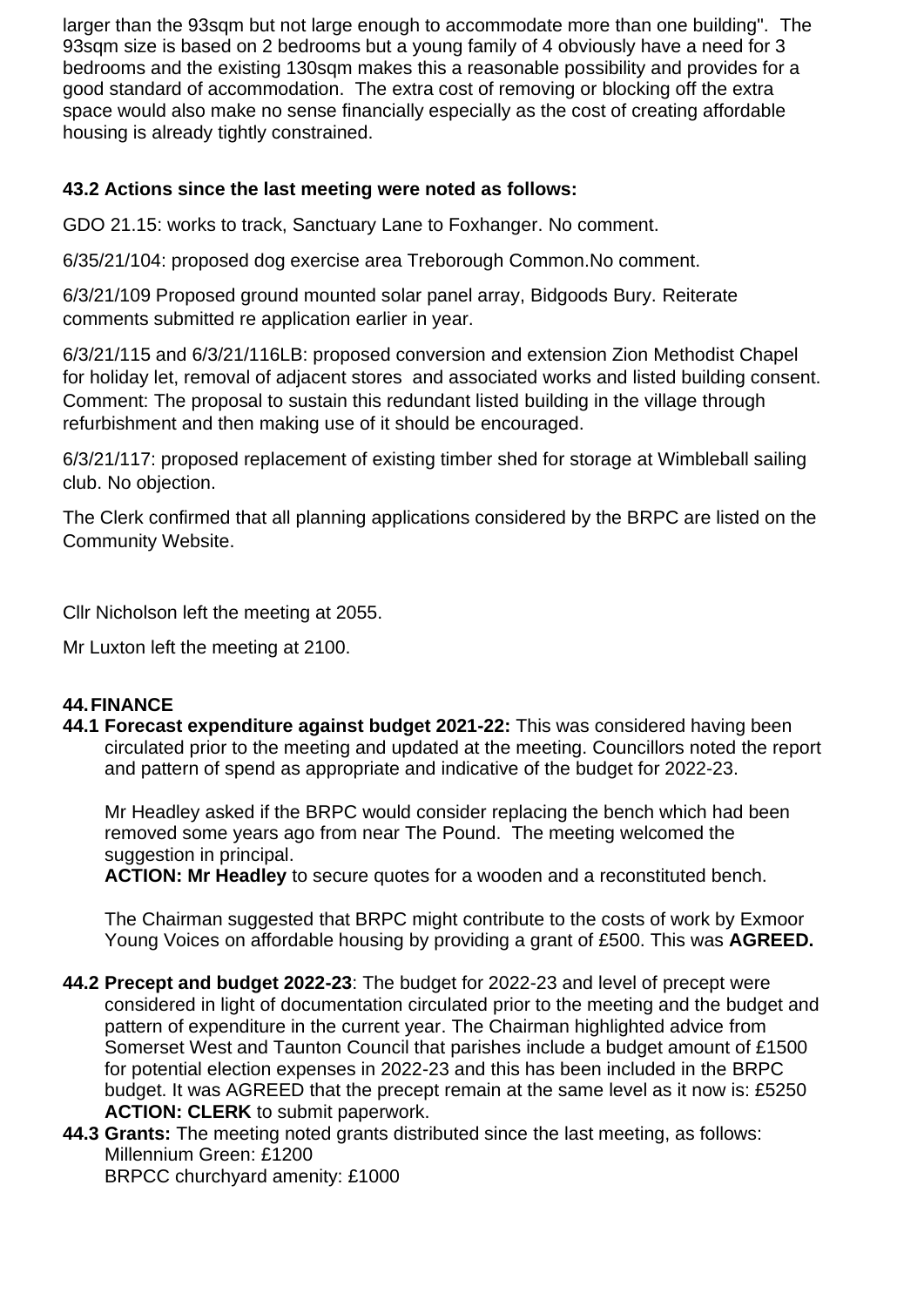larger than the 93sqm but not large enough to accommodate more than one building". The 93sqm size is based on 2 bedrooms but a young family of 4 obviously have a need for 3 bedrooms and the existing 130sqm makes this a reasonable possibility and provides for a good standard of accommodation. The extra cost of removing or blocking off the extra space would also make no sense financially especially as the cost of creating affordable housing is already tightly constrained.

### **43.2 Actions since the last meeting were noted as follows:**

GDO 21.15: works to track, Sanctuary Lane to Foxhanger. No comment.

6/35/21/104: proposed dog exercise area Treborough Common.No comment.

6/3/21/109 Proposed ground mounted solar panel array, Bidgoods Bury. Reiterate comments submitted re application earlier in year.

6/3/21/115 and 6/3/21/116LB: proposed conversion and extension Zion Methodist Chapel for holiday let, removal of adjacent stores and associated works and listed building consent. Comment: The proposal to sustain this redundant listed building in the village through refurbishment and then making use of it should be encouraged.

6/3/21/117: proposed replacement of existing timber shed for storage at Wimbleball sailing club. No objection.

The Clerk confirmed that all planning applications considered by the BRPC are listed on the Community Website.

Cllr Nicholson left the meeting at 2055.

Mr Luxton left the meeting at 2100.

### **44.FINANCE**

**44.1 Forecast expenditure against budget 2021-22:** This was considered having been circulated prior to the meeting and updated at the meeting. Councillors noted the report and pattern of spend as appropriate and indicative of the budget for 2022-23.

Mr Headley asked if the BRPC would consider replacing the bench which had been removed some years ago from near The Pound. The meeting welcomed the suggestion in principal.

**ACTION: Mr Headley** to secure quotes for a wooden and a reconstituted bench.

The Chairman suggested that BRPC might contribute to the costs of work by Exmoor Young Voices on affordable housing by providing a grant of £500. This was **AGREED.**

- **44.2 Precept and budget 2022-23**: The budget for 2022-23 and level of precept were considered in light of documentation circulated prior to the meeting and the budget and pattern of expenditure in the current year. The Chairman highlighted advice from Somerset West and Taunton Council that parishes include a budget amount of £1500 for potential election expenses in 2022-23 and this has been included in the BRPC budget. It was AGREED that the precept remain at the same level as it now is: £5250 **ACTION: CLERK** to submit paperwork.
- **44.3 Grants:** The meeting noted grants distributed since the last meeting, as follows: Millennium Green: £1200 BRPCC churchyard amenity: £1000